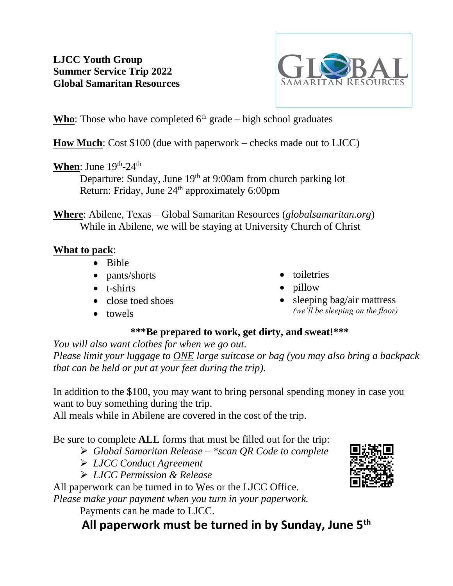# **LJCC Youth Group Summer Service Trip 2022 Global Samaritan Resources**



**Who**: Those who have completed  $6<sup>th</sup>$  grade – high school graduates

**How Much**: Cost \$100 (due with paperwork – checks made out to LJCC)

## When: June 19<sup>th</sup>-24<sup>th</sup>

Departure: Sunday, June 19<sup>th</sup> at 9:00am from church parking lot Return: Friday, June 24<sup>th</sup> approximately 6:00pm

**Where**: Abilene, Texas – Global Samaritan Resources (*globalsamaritan.org*) While in Abilene, we will be staying at University Church of Christ

### **What to pack**:

- Bible
- pants/shorts
- t-shirts
- close toed shoes
- toiletries
- pillow
- sleeping bag/air mattress *(we'll be sleeping on the floor)*

• towels

# **\*\*\*Be prepared to work, get dirty, and sweat!\*\*\***

*You will also want clothes for when we go out.*

*Please limit your luggage to ONE large suitcase or bag (you may also bring a backpack that can be held or put at your feet during the trip).*

In addition to the \$100, you may want to bring personal spending money in case you want to buy something during the trip.

All meals while in Abilene are covered in the cost of the trip.

Be sure to complete **ALL** forms that must be filled out for the trip:

- ➢ *Global Samaritan Release – \*scan QR Code to complete*
- ➢ *LJCC Conduct Agreement*
- ➢ *LJCC Permission & Release*

All paperwork can be turned in to Wes or the LJCC Office.

*Please make your payment when you turn in your paperwork.*

Payments can be made to LJCC.

# **All paperwork must be turned in by Sunday, June 5th**

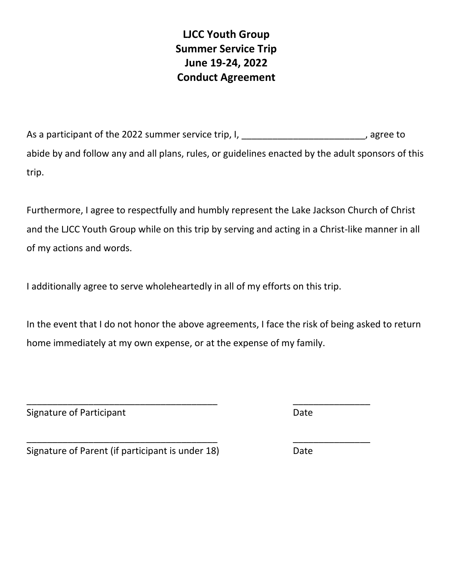**LJCC Youth Group Summer Service Trip June 19-24, 2022 Conduct Agreement**

As a participant of the 2022 summer service trip, I, the manner of the 2022 summer service trip, I, abide by and follow any and all plans, rules, or guidelines enacted by the adult sponsors of this trip.

Furthermore, I agree to respectfully and humbly represent the Lake Jackson Church of Christ and the LJCC Youth Group while on this trip by serving and acting in a Christ-like manner in all of my actions and words.

I additionally agree to serve wholeheartedly in all of my efforts on this trip.

\_\_\_\_\_\_\_\_\_\_\_\_\_\_\_\_\_\_\_\_\_\_\_\_\_\_\_\_\_\_\_\_\_\_\_\_\_ \_\_\_\_\_\_\_\_\_\_\_\_\_\_\_

\_\_\_\_\_\_\_\_\_\_\_\_\_\_\_\_\_\_\_\_\_\_\_\_\_\_\_\_\_\_\_\_\_\_\_\_\_ \_\_\_\_\_\_\_\_\_\_\_\_\_\_\_

In the event that I do not honor the above agreements, I face the risk of being asked to return home immediately at my own expense, or at the expense of my family.

Signature of Participant **Date** Date Date

Signature of Parent (if participant is under 18) Date